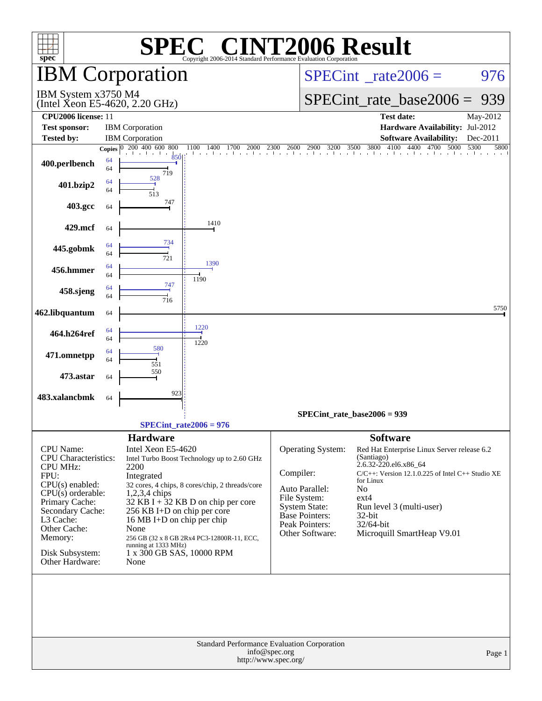| $spec^*$                                                           |          | SPE0                                                                                         | $\blacksquare$           |  |                                       | <b>INT2006 Result</b><br>Copyright 2006-2014 Standard Performance Evaluation Corporation |                                                        |                                                       |      |          |
|--------------------------------------------------------------------|----------|----------------------------------------------------------------------------------------------|--------------------------|--|---------------------------------------|------------------------------------------------------------------------------------------|--------------------------------------------------------|-------------------------------------------------------|------|----------|
|                                                                    |          | <b>IBM Corporation</b>                                                                       |                          |  | $SPECint^{\circ}$ rate 2006 =         |                                                                                          |                                                        |                                                       | 976  |          |
| IBM System x3750 M4                                                |          | (Intel Xeon E5-4620, 2.20 GHz)                                                               |                          |  |                                       |                                                                                          |                                                        | $SPECint_rate\_base2006 =$                            |      | 939      |
| CPU2006 license: 11                                                |          |                                                                                              |                          |  |                                       |                                                                                          |                                                        | <b>Test date:</b>                                     |      | May-2012 |
| <b>Test sponsor:</b>                                               |          | <b>IBM</b> Corporation                                                                       |                          |  |                                       |                                                                                          |                                                        | Hardware Availability: Jul-2012                       |      |          |
| <b>Tested by:</b>                                                  |          | <b>IBM</b> Corporation                                                                       |                          |  |                                       |                                                                                          |                                                        | <b>Software Availability:</b>                         |      | Dec-2011 |
|                                                                    |          | Copies 0 200 400 600 800                                                                     | 1100                     |  |                                       |                                                                                          |                                                        |                                                       | 5300 | 5800     |
| 400.perlbench                                                      | 64<br>64 | and the control of the control of<br>719                                                     |                          |  |                                       |                                                                                          |                                                        |                                                       |      |          |
| 401.bzip2                                                          | 64<br>64 | 528<br>513                                                                                   |                          |  |                                       |                                                                                          |                                                        |                                                       |      |          |
| 403.gcc                                                            | 64       | 747                                                                                          |                          |  |                                       |                                                                                          |                                                        |                                                       |      |          |
| 429.mcf                                                            | 64       | 734                                                                                          | 1410                     |  |                                       |                                                                                          |                                                        |                                                       |      |          |
| 445.gobmk                                                          | 64<br>64 | 721                                                                                          | 1390                     |  |                                       |                                                                                          |                                                        |                                                       |      |          |
| 456.hmmer                                                          | 64<br>64 |                                                                                              |                          |  |                                       |                                                                                          |                                                        |                                                       |      |          |
| 458.sjeng                                                          | 64<br>64 | 747<br>716                                                                                   | 1190                     |  |                                       |                                                                                          |                                                        |                                                       |      |          |
| 462.libquantum                                                     | 64       |                                                                                              |                          |  |                                       |                                                                                          |                                                        |                                                       |      | 5750     |
| 464.h264ref                                                        | 64<br>64 |                                                                                              | 1220<br>1220             |  |                                       |                                                                                          |                                                        |                                                       |      |          |
| 471.omnetpp                                                        | 64<br>64 | 580<br>551                                                                                   |                          |  |                                       |                                                                                          |                                                        |                                                       |      |          |
| 473.astar                                                          | 64       | 550                                                                                          |                          |  |                                       |                                                                                          |                                                        |                                                       |      |          |
| 483.xalancbmk                                                      | 64       | 923                                                                                          |                          |  |                                       |                                                                                          |                                                        |                                                       |      |          |
|                                                                    |          |                                                                                              |                          |  |                                       | SPECint rate base $2006 = 939$                                                           |                                                        |                                                       |      |          |
|                                                                    |          |                                                                                              | $SPECint_rate2006 = 976$ |  |                                       |                                                                                          |                                                        |                                                       |      |          |
|                                                                    |          |                                                                                              |                          |  |                                       |                                                                                          |                                                        |                                                       |      |          |
| <b>CPU</b> Name:<br><b>CPU</b> Characteristics:<br><b>CPU MHz:</b> |          | <b>Hardware</b><br>Intel Xeon E5-4620<br>Intel Turbo Boost Technology up to 2.60 GHz<br>2200 |                          |  |                                       | <b>Operating System:</b>                                                                 | <b>Software</b><br>(Santiago)<br>2.6.32-220.el6.x86_64 | Red Hat Enterprise Linux Server release 6.2           |      |          |
| FPU:                                                               |          | Integrated                                                                                   |                          |  | Compiler:                             |                                                                                          | for Linux                                              | $C/C++$ : Version 12.1.0.225 of Intel $C++$ Studio XE |      |          |
| $CPU(s)$ enabled:<br>$CPU(s)$ orderable:                           |          | 32 cores, 4 chips, 8 cores/chip, 2 threads/core<br>1,2,3,4 chips                             |                          |  |                                       | Auto Parallel:                                                                           | N <sub>0</sub>                                         |                                                       |      |          |
| Primary Cache:                                                     |          | 32 KB I + $32$ KB D on chip per core                                                         |                          |  |                                       | File System:                                                                             | $ext{4}$                                               |                                                       |      |          |
| Secondary Cache:                                                   |          | 256 KB I+D on chip per core                                                                  |                          |  |                                       | <b>System State:</b><br><b>Base Pointers:</b>                                            | $32$ -bit                                              | Run level 3 (multi-user)                              |      |          |
| L3 Cache:                                                          |          | 16 MB I+D on chip per chip                                                                   |                          |  |                                       | Peak Pointers:                                                                           | 32/64-bit                                              |                                                       |      |          |
| Other Cache:<br>Memory:                                            |          | None<br>256 GB (32 x 8 GB 2Rx4 PC3-12800R-11, ECC,                                           |                          |  |                                       | Other Software:                                                                          |                                                        | Microquill SmartHeap V9.01                            |      |          |
|                                                                    |          | running at 1333 MHz)                                                                         |                          |  |                                       |                                                                                          |                                                        |                                                       |      |          |
| Disk Subsystem:<br>Other Hardware:                                 |          | 1 x 300 GB SAS, 10000 RPM<br>None                                                            |                          |  |                                       |                                                                                          |                                                        |                                                       |      |          |
|                                                                    |          |                                                                                              |                          |  |                                       | Standard Performance Evaluation Corporation                                              |                                                        |                                                       |      |          |
|                                                                    |          |                                                                                              |                          |  | info@spec.org<br>http://www.spec.org/ |                                                                                          |                                                        |                                                       |      | Page 1   |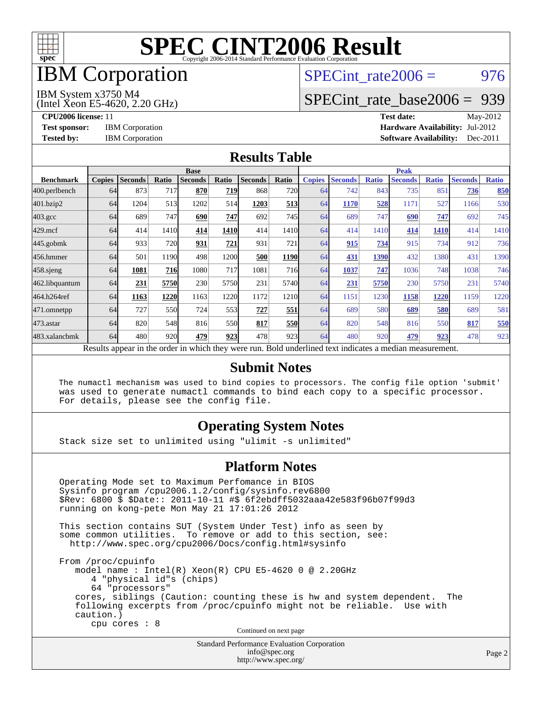

## IBM Corporation

## SPECint rate $2006 = 976$

#### IBM System x3750 M4

(Intel Xeon E5-4620, 2.20 GHz)

[SPECint\\_rate\\_base2006 =](http://www.spec.org/auto/cpu2006/Docs/result-fields.html#SPECintratebase2006) 939

**[CPU2006 license:](http://www.spec.org/auto/cpu2006/Docs/result-fields.html#CPU2006license)** 11 **[Test date:](http://www.spec.org/auto/cpu2006/Docs/result-fields.html#Testdate)** May-2012 **[Test sponsor:](http://www.spec.org/auto/cpu2006/Docs/result-fields.html#Testsponsor)** IBM Corporation **[Hardware Availability:](http://www.spec.org/auto/cpu2006/Docs/result-fields.html#HardwareAvailability)** Jul-2012 **[Tested by:](http://www.spec.org/auto/cpu2006/Docs/result-fields.html#Testedby)** IBM Corporation **[Software Availability:](http://www.spec.org/auto/cpu2006/Docs/result-fields.html#SoftwareAvailability)** Dec-2011

#### **[Results Table](http://www.spec.org/auto/cpu2006/Docs/result-fields.html#ResultsTable)**

|                                                                                                          | <b>Base</b>   |                |       |                |            |                |            | <b>Peak</b>   |                |              |                |              |                |              |  |
|----------------------------------------------------------------------------------------------------------|---------------|----------------|-------|----------------|------------|----------------|------------|---------------|----------------|--------------|----------------|--------------|----------------|--------------|--|
| <b>Benchmark</b>                                                                                         | <b>Copies</b> | <b>Seconds</b> | Ratio | <b>Seconds</b> | Ratio      | <b>Seconds</b> | Ratio      | <b>Copies</b> | <b>Seconds</b> | <b>Ratio</b> | <b>Seconds</b> | <b>Ratio</b> | <b>Seconds</b> | <b>Ratio</b> |  |
| 400.perlbench                                                                                            | 64            | 873            | 717   | 870            | 719        | 868            | <b>720</b> | 64            | 742            | 843          | 735            | 851          | 736            | <b>850</b>   |  |
| 401.bzip2                                                                                                | 64            | 1204           | 513   | 1202           | 514        | 1203           | 513        | 64            | 1170           | 528          | 1171           | 527          | 1166           | 530          |  |
| $403.\mathrm{gcc}$                                                                                       | 64            | 689            | 747   | 690            | 747        | 692            | 745        | 64            | 689            | 747          | 690            | 747          | 692            | 745          |  |
| $429$ .mcf                                                                                               | 64            | 414            | 1410  | 414            | 1410       | 414            | 1410       | 64            | 414            | 1410         | 414            | 1410         | 414            | 1410         |  |
| $445$ .gobmk                                                                                             | 64            | 933            | 720   | 931            | 721        | 931            | 721        | 64            | 915            | 734          | 915            | 734          | 912            | 736          |  |
| 456.hmmer                                                                                                | 64            | 501            | 1190  | 498            | 1200       | 500            | 1190       | 64            | 431            | 1390         | 432            | 1380         | 431            | 1390         |  |
| $458$ .sjeng                                                                                             | 64            | 1081           | 716   | 1080           | <b>717</b> | 1081           | <b>716</b> | 64            | 1037           | 747          | 1036           | 748          | 1038           | 746          |  |
| 462.libquantum                                                                                           | 64            | 231            | 5750  | 230            | 5750       | 231            | 5740       | 64            | 231            | 5750         | 230            | 5750         | 231            | 5740         |  |
| 464.h264ref                                                                                              | 64            | 1163           | 1220  | 1163           | 1220       | 1172           | 1210       | 64            | 1151           | 1230         | 1158           | 1220         | 1159           | 1220         |  |
| 471.omnetpp                                                                                              | 64            | 727            | 550   | 724            | 553        | 727            | 551        | 64            | 689            | 580          | 689            | 580          | 689            | 581          |  |
| 473.astar                                                                                                | 64            | 820            | 548   | 816            | <b>550</b> | 817            | <b>550</b> | 64            | 820            | 548          | 816            | 550          | 817            | 550          |  |
| 483.xalancbmk                                                                                            | 64            | 480            | 920   | 479            | 923        | 478            | 923        | 64            | 480            | 920          | 479            | 923          | 478            | 923          |  |
| Results appear in the order in which they were run. Bold underlined text indicates a median measurement. |               |                |       |                |            |                |            |               |                |              |                |              |                |              |  |

#### **[Submit Notes](http://www.spec.org/auto/cpu2006/Docs/result-fields.html#SubmitNotes)**

 The numactl mechanism was used to bind copies to processors. The config file option 'submit' was used to generate numactl commands to bind each copy to a specific processor. For details, please see the config file.

### **[Operating System Notes](http://www.spec.org/auto/cpu2006/Docs/result-fields.html#OperatingSystemNotes)**

Stack size set to unlimited using "ulimit -s unlimited"

#### **[Platform Notes](http://www.spec.org/auto/cpu2006/Docs/result-fields.html#PlatformNotes)**

 Operating Mode set to Maximum Perfomance in BIOS Sysinfo program /cpu2006.1.2/config/sysinfo.rev6800 \$Rev: 6800 \$ \$Date:: 2011-10-11 #\$ 6f2ebdff5032aaa42e583f96b07f99d3 running on kong-pete Mon May 21 17:01:26 2012 This section contains SUT (System Under Test) info as seen by some common utilities. To remove or add to this section, see: <http://www.spec.org/cpu2006/Docs/config.html#sysinfo> From /proc/cpuinfo model name : Intel(R) Xeon(R) CPU E5-4620 0 @ 2.20GHz 4 "physical id"s (chips) 64 "processors" cores, siblings (Caution: counting these is hw and system dependent. The following excerpts from /proc/cpuinfo might not be reliable. Use with caution.) cpu cores : 8 Continued on next page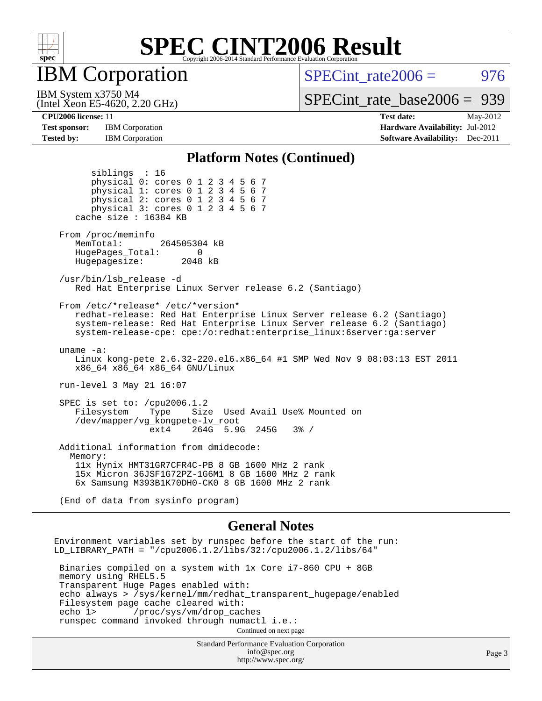

IBM Corporation

SPECint rate $2006 = 976$ 

[SPECint\\_rate\\_base2006 =](http://www.spec.org/auto/cpu2006/Docs/result-fields.html#SPECintratebase2006) 939

IBM System x3750 M4

**[Test sponsor:](http://www.spec.org/auto/cpu2006/Docs/result-fields.html#Testsponsor)** IBM Corporation **[Hardware Availability:](http://www.spec.org/auto/cpu2006/Docs/result-fields.html#HardwareAvailability)** Jul-2012 **[Tested by:](http://www.spec.org/auto/cpu2006/Docs/result-fields.html#Testedby)** IBM Corporation **IBM** Corporation **[Software Availability:](http://www.spec.org/auto/cpu2006/Docs/result-fields.html#SoftwareAvailability)** Dec-2011

siblings : 16

(Intel Xeon E5-4620, 2.20 GHz)

**[CPU2006 license:](http://www.spec.org/auto/cpu2006/Docs/result-fields.html#CPU2006license)** 11 **[Test date:](http://www.spec.org/auto/cpu2006/Docs/result-fields.html#Testdate)** May-2012

#### **[Platform Notes \(Continued\)](http://www.spec.org/auto/cpu2006/Docs/result-fields.html#PlatformNotes)**

Standard Performance Evaluation Corporation [info@spec.org](mailto:info@spec.org) physical 0: cores 0 1 2 3 4 5 6 7 physical 1: cores 0 1 2 3 4 5 6 7 physical 2: cores 0 1 2 3 4 5 6 7 physical 3: cores 0 1 2 3 4 5 6 7 cache size : 16384 KB From /proc/meminfo MemTotal: 264505304 kB HugePages\_Total: 0<br>Hugepagesize: 2048 kB Hugepagesize: /usr/bin/lsb\_release -d Red Hat Enterprise Linux Server release 6.2 (Santiago) From /etc/\*release\* /etc/\*version\* redhat-release: Red Hat Enterprise Linux Server release 6.2 (Santiago) system-release: Red Hat Enterprise Linux Server release 6.2 (Santiago) system-release-cpe: cpe:/o:redhat:enterprise\_linux:6server:ga:server uname -a: Linux kong-pete 2.6.32-220.el6.x86\_64 #1 SMP Wed Nov 9 08:03:13 EST 2011 x86\_64 x86\_64 x86\_64 GNU/Linux run-level 3 May 21 16:07 SPEC is set to: /cpu2006.1.2 Filesystem Type Size Used Avail Use% Mounted on /dev/mapper/vg\_kongpete-lv\_root ext4 264G 5.9G 245G 3% / Additional information from dmidecode: Memory: 11x Hynix HMT31GR7CFR4C-PB 8 GB 1600 MHz 2 rank 15x Micron 36JSF1G72PZ-1G6M1 8 GB 1600 MHz 2 rank 6x Samsung M393B1K70DH0-CK0 8 GB 1600 MHz 2 rank (End of data from sysinfo program) **[General Notes](http://www.spec.org/auto/cpu2006/Docs/result-fields.html#GeneralNotes)** Environment variables set by runspec before the start of the run: LD\_LIBRARY\_PATH = "/cpu2006.1.2/libs/32:/cpu2006.1.2/libs/64" Binaries compiled on a system with 1x Core i7-860 CPU + 8GB memory using RHEL5.5 Transparent Huge Pages enabled with: echo always > /sys/kernel/mm/redhat\_transparent\_hugepage/enabled Filesystem page cache cleared with:<br>echo 1> /proc/sys/vm/drop cac /proc/sys/vm/drop\_caches runspec command invoked through numactl i.e.: Continued on next page

<http://www.spec.org/>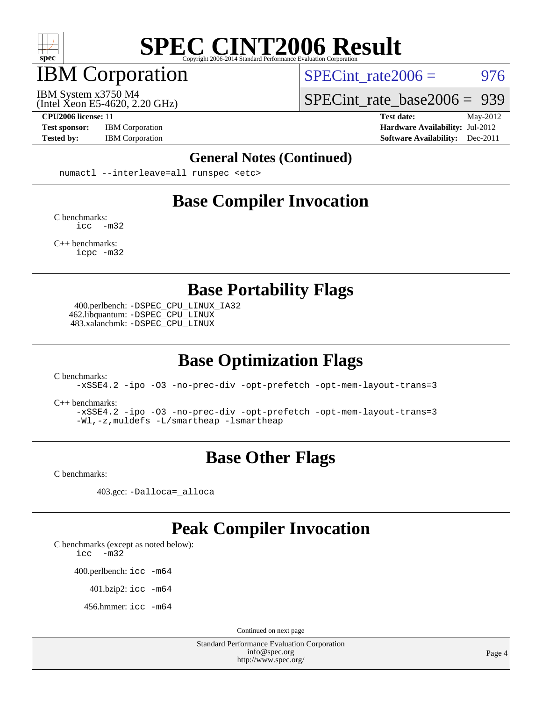

## IBM Corporation

SPECint rate $2006 = 976$ 

(Intel Xeon E5-4620, 2.20 GHz) IBM System x3750 M4

[SPECint\\_rate\\_base2006 =](http://www.spec.org/auto/cpu2006/Docs/result-fields.html#SPECintratebase2006) 939

**[CPU2006 license:](http://www.spec.org/auto/cpu2006/Docs/result-fields.html#CPU2006license)** 11 **[Test date:](http://www.spec.org/auto/cpu2006/Docs/result-fields.html#Testdate)** May-2012 **[Test sponsor:](http://www.spec.org/auto/cpu2006/Docs/result-fields.html#Testsponsor)** IBM Corporation **[Hardware Availability:](http://www.spec.org/auto/cpu2006/Docs/result-fields.html#HardwareAvailability)** Jul-2012 **[Tested by:](http://www.spec.org/auto/cpu2006/Docs/result-fields.html#Testedby)** IBM Corporation **[Software Availability:](http://www.spec.org/auto/cpu2006/Docs/result-fields.html#SoftwareAvailability)** Dec-2011

#### **[General Notes \(Continued\)](http://www.spec.org/auto/cpu2006/Docs/result-fields.html#GeneralNotes)**

numactl --interleave=all runspec <etc>

### **[Base Compiler Invocation](http://www.spec.org/auto/cpu2006/Docs/result-fields.html#BaseCompilerInvocation)**

[C benchmarks](http://www.spec.org/auto/cpu2006/Docs/result-fields.html#Cbenchmarks): [icc -m32](http://www.spec.org/cpu2006/results/res2012q3/cpu2006-20120716-23760.flags.html#user_CCbase_intel_icc_5ff4a39e364c98233615fdd38438c6f2)

[C++ benchmarks:](http://www.spec.org/auto/cpu2006/Docs/result-fields.html#CXXbenchmarks) [icpc -m32](http://www.spec.org/cpu2006/results/res2012q3/cpu2006-20120716-23760.flags.html#user_CXXbase_intel_icpc_4e5a5ef1a53fd332b3c49e69c3330699)

**[Base Portability Flags](http://www.spec.org/auto/cpu2006/Docs/result-fields.html#BasePortabilityFlags)**

 400.perlbench: [-DSPEC\\_CPU\\_LINUX\\_IA32](http://www.spec.org/cpu2006/results/res2012q3/cpu2006-20120716-23760.flags.html#b400.perlbench_baseCPORTABILITY_DSPEC_CPU_LINUX_IA32) 462.libquantum: [-DSPEC\\_CPU\\_LINUX](http://www.spec.org/cpu2006/results/res2012q3/cpu2006-20120716-23760.flags.html#b462.libquantum_baseCPORTABILITY_DSPEC_CPU_LINUX) 483.xalancbmk: [-DSPEC\\_CPU\\_LINUX](http://www.spec.org/cpu2006/results/res2012q3/cpu2006-20120716-23760.flags.html#b483.xalancbmk_baseCXXPORTABILITY_DSPEC_CPU_LINUX)

## **[Base Optimization Flags](http://www.spec.org/auto/cpu2006/Docs/result-fields.html#BaseOptimizationFlags)**

[C benchmarks](http://www.spec.org/auto/cpu2006/Docs/result-fields.html#Cbenchmarks):

[-xSSE4.2](http://www.spec.org/cpu2006/results/res2012q3/cpu2006-20120716-23760.flags.html#user_CCbase_f-xSSE42_f91528193cf0b216347adb8b939d4107) [-ipo](http://www.spec.org/cpu2006/results/res2012q3/cpu2006-20120716-23760.flags.html#user_CCbase_f-ipo) [-O3](http://www.spec.org/cpu2006/results/res2012q3/cpu2006-20120716-23760.flags.html#user_CCbase_f-O3) [-no-prec-div](http://www.spec.org/cpu2006/results/res2012q3/cpu2006-20120716-23760.flags.html#user_CCbase_f-no-prec-div) [-opt-prefetch](http://www.spec.org/cpu2006/results/res2012q3/cpu2006-20120716-23760.flags.html#user_CCbase_f-opt-prefetch) [-opt-mem-layout-trans=3](http://www.spec.org/cpu2006/results/res2012q3/cpu2006-20120716-23760.flags.html#user_CCbase_f-opt-mem-layout-trans_a7b82ad4bd7abf52556d4961a2ae94d5)

[C++ benchmarks:](http://www.spec.org/auto/cpu2006/Docs/result-fields.html#CXXbenchmarks)

[-xSSE4.2](http://www.spec.org/cpu2006/results/res2012q3/cpu2006-20120716-23760.flags.html#user_CXXbase_f-xSSE42_f91528193cf0b216347adb8b939d4107) [-ipo](http://www.spec.org/cpu2006/results/res2012q3/cpu2006-20120716-23760.flags.html#user_CXXbase_f-ipo) [-O3](http://www.spec.org/cpu2006/results/res2012q3/cpu2006-20120716-23760.flags.html#user_CXXbase_f-O3) [-no-prec-div](http://www.spec.org/cpu2006/results/res2012q3/cpu2006-20120716-23760.flags.html#user_CXXbase_f-no-prec-div) [-opt-prefetch](http://www.spec.org/cpu2006/results/res2012q3/cpu2006-20120716-23760.flags.html#user_CXXbase_f-opt-prefetch) [-opt-mem-layout-trans=3](http://www.spec.org/cpu2006/results/res2012q3/cpu2006-20120716-23760.flags.html#user_CXXbase_f-opt-mem-layout-trans_a7b82ad4bd7abf52556d4961a2ae94d5) [-Wl,-z,muldefs](http://www.spec.org/cpu2006/results/res2012q3/cpu2006-20120716-23760.flags.html#user_CXXbase_link_force_multiple1_74079c344b956b9658436fd1b6dd3a8a) [-L/smartheap -lsmartheap](http://www.spec.org/cpu2006/results/res2012q3/cpu2006-20120716-23760.flags.html#user_CXXbase_SmartHeap_7c9e394a5779e1a7fec7c221e123830c)

## **[Base Other Flags](http://www.spec.org/auto/cpu2006/Docs/result-fields.html#BaseOtherFlags)**

[C benchmarks](http://www.spec.org/auto/cpu2006/Docs/result-fields.html#Cbenchmarks):

403.gcc: [-Dalloca=\\_alloca](http://www.spec.org/cpu2006/results/res2012q3/cpu2006-20120716-23760.flags.html#b403.gcc_baseEXTRA_CFLAGS_Dalloca_be3056838c12de2578596ca5467af7f3)

### **[Peak Compiler Invocation](http://www.spec.org/auto/cpu2006/Docs/result-fields.html#PeakCompilerInvocation)**

[C benchmarks \(except as noted below\)](http://www.spec.org/auto/cpu2006/Docs/result-fields.html#Cbenchmarksexceptasnotedbelow):

[icc -m32](http://www.spec.org/cpu2006/results/res2012q3/cpu2006-20120716-23760.flags.html#user_CCpeak_intel_icc_5ff4a39e364c98233615fdd38438c6f2)

400.perlbench: [icc -m64](http://www.spec.org/cpu2006/results/res2012q3/cpu2006-20120716-23760.flags.html#user_peakCCLD400_perlbench_intel_icc_64bit_bda6cc9af1fdbb0edc3795bac97ada53)

401.bzip2: [icc -m64](http://www.spec.org/cpu2006/results/res2012q3/cpu2006-20120716-23760.flags.html#user_peakCCLD401_bzip2_intel_icc_64bit_bda6cc9af1fdbb0edc3795bac97ada53)

456.hmmer: [icc -m64](http://www.spec.org/cpu2006/results/res2012q3/cpu2006-20120716-23760.flags.html#user_peakCCLD456_hmmer_intel_icc_64bit_bda6cc9af1fdbb0edc3795bac97ada53)

Continued on next page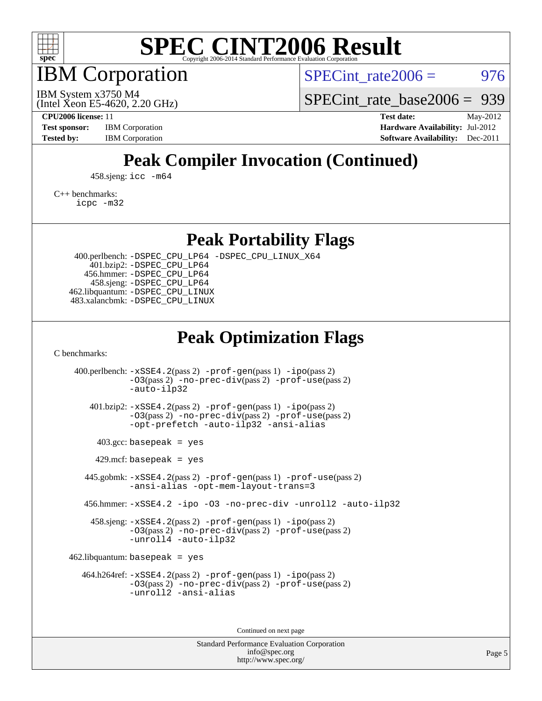

IBM Corporation

SPECint rate $2006 = 976$ 

(Intel Xeon E5-4620, 2.20 GHz) IBM System x3750 M4

[SPECint\\_rate\\_base2006 =](http://www.spec.org/auto/cpu2006/Docs/result-fields.html#SPECintratebase2006) 939

**[CPU2006 license:](http://www.spec.org/auto/cpu2006/Docs/result-fields.html#CPU2006license)** 11 **[Test date:](http://www.spec.org/auto/cpu2006/Docs/result-fields.html#Testdate)** May-2012 **[Test sponsor:](http://www.spec.org/auto/cpu2006/Docs/result-fields.html#Testsponsor)** IBM Corporation **[Hardware Availability:](http://www.spec.org/auto/cpu2006/Docs/result-fields.html#HardwareAvailability)** Jul-2012 **[Tested by:](http://www.spec.org/auto/cpu2006/Docs/result-fields.html#Testedby)** IBM Corporation **IBM** Corporation **[Software Availability:](http://www.spec.org/auto/cpu2006/Docs/result-fields.html#SoftwareAvailability)** Dec-2011

## **[Peak Compiler Invocation \(Continued\)](http://www.spec.org/auto/cpu2006/Docs/result-fields.html#PeakCompilerInvocation)**

458.sjeng: [icc -m64](http://www.spec.org/cpu2006/results/res2012q3/cpu2006-20120716-23760.flags.html#user_peakCCLD458_sjeng_intel_icc_64bit_bda6cc9af1fdbb0edc3795bac97ada53)

[C++ benchmarks:](http://www.spec.org/auto/cpu2006/Docs/result-fields.html#CXXbenchmarks)

[icpc -m32](http://www.spec.org/cpu2006/results/res2012q3/cpu2006-20120716-23760.flags.html#user_CXXpeak_intel_icpc_4e5a5ef1a53fd332b3c49e69c3330699)

**[Peak Portability Flags](http://www.spec.org/auto/cpu2006/Docs/result-fields.html#PeakPortabilityFlags)**

 400.perlbench: [-DSPEC\\_CPU\\_LP64](http://www.spec.org/cpu2006/results/res2012q3/cpu2006-20120716-23760.flags.html#b400.perlbench_peakCPORTABILITY_DSPEC_CPU_LP64) [-DSPEC\\_CPU\\_LINUX\\_X64](http://www.spec.org/cpu2006/results/res2012q3/cpu2006-20120716-23760.flags.html#b400.perlbench_peakCPORTABILITY_DSPEC_CPU_LINUX_X64) 401.bzip2: [-DSPEC\\_CPU\\_LP64](http://www.spec.org/cpu2006/results/res2012q3/cpu2006-20120716-23760.flags.html#suite_peakCPORTABILITY401_bzip2_DSPEC_CPU_LP64) 456.hmmer: [-DSPEC\\_CPU\\_LP64](http://www.spec.org/cpu2006/results/res2012q3/cpu2006-20120716-23760.flags.html#suite_peakCPORTABILITY456_hmmer_DSPEC_CPU_LP64) 458.sjeng: [-DSPEC\\_CPU\\_LP64](http://www.spec.org/cpu2006/results/res2012q3/cpu2006-20120716-23760.flags.html#suite_peakCPORTABILITY458_sjeng_DSPEC_CPU_LP64) 462.libquantum: [-DSPEC\\_CPU\\_LINUX](http://www.spec.org/cpu2006/results/res2012q3/cpu2006-20120716-23760.flags.html#b462.libquantum_peakCPORTABILITY_DSPEC_CPU_LINUX) 483.xalancbmk: [-DSPEC\\_CPU\\_LINUX](http://www.spec.org/cpu2006/results/res2012q3/cpu2006-20120716-23760.flags.html#b483.xalancbmk_peakCXXPORTABILITY_DSPEC_CPU_LINUX)

### **[Peak Optimization Flags](http://www.spec.org/auto/cpu2006/Docs/result-fields.html#PeakOptimizationFlags)**

[C benchmarks](http://www.spec.org/auto/cpu2006/Docs/result-fields.html#Cbenchmarks):

 400.perlbench: [-xSSE4.2](http://www.spec.org/cpu2006/results/res2012q3/cpu2006-20120716-23760.flags.html#user_peakPASS2_CFLAGSPASS2_LDCFLAGS400_perlbench_f-xSSE42_f91528193cf0b216347adb8b939d4107)(pass 2) [-prof-gen](http://www.spec.org/cpu2006/results/res2012q3/cpu2006-20120716-23760.flags.html#user_peakPASS1_CFLAGSPASS1_LDCFLAGS400_perlbench_prof_gen_e43856698f6ca7b7e442dfd80e94a8fc)(pass 1) [-ipo](http://www.spec.org/cpu2006/results/res2012q3/cpu2006-20120716-23760.flags.html#user_peakPASS2_CFLAGSPASS2_LDCFLAGS400_perlbench_f-ipo)(pass 2) [-O3](http://www.spec.org/cpu2006/results/res2012q3/cpu2006-20120716-23760.flags.html#user_peakPASS2_CFLAGSPASS2_LDCFLAGS400_perlbench_f-O3)(pass 2) [-no-prec-div](http://www.spec.org/cpu2006/results/res2012q3/cpu2006-20120716-23760.flags.html#user_peakPASS2_CFLAGSPASS2_LDCFLAGS400_perlbench_f-no-prec-div)(pass 2) [-prof-use](http://www.spec.org/cpu2006/results/res2012q3/cpu2006-20120716-23760.flags.html#user_peakPASS2_CFLAGSPASS2_LDCFLAGS400_perlbench_prof_use_bccf7792157ff70d64e32fe3e1250b55)(pass 2) [-auto-ilp32](http://www.spec.org/cpu2006/results/res2012q3/cpu2006-20120716-23760.flags.html#user_peakCOPTIMIZE400_perlbench_f-auto-ilp32) 401.bzip2: [-xSSE4.2](http://www.spec.org/cpu2006/results/res2012q3/cpu2006-20120716-23760.flags.html#user_peakPASS2_CFLAGSPASS2_LDCFLAGS401_bzip2_f-xSSE42_f91528193cf0b216347adb8b939d4107)(pass 2) [-prof-gen](http://www.spec.org/cpu2006/results/res2012q3/cpu2006-20120716-23760.flags.html#user_peakPASS1_CFLAGSPASS1_LDCFLAGS401_bzip2_prof_gen_e43856698f6ca7b7e442dfd80e94a8fc)(pass 1) [-ipo](http://www.spec.org/cpu2006/results/res2012q3/cpu2006-20120716-23760.flags.html#user_peakPASS2_CFLAGSPASS2_LDCFLAGS401_bzip2_f-ipo)(pass 2) [-O3](http://www.spec.org/cpu2006/results/res2012q3/cpu2006-20120716-23760.flags.html#user_peakPASS2_CFLAGSPASS2_LDCFLAGS401_bzip2_f-O3)(pass 2) [-no-prec-div](http://www.spec.org/cpu2006/results/res2012q3/cpu2006-20120716-23760.flags.html#user_peakPASS2_CFLAGSPASS2_LDCFLAGS401_bzip2_f-no-prec-div)(pass 2) [-prof-use](http://www.spec.org/cpu2006/results/res2012q3/cpu2006-20120716-23760.flags.html#user_peakPASS2_CFLAGSPASS2_LDCFLAGS401_bzip2_prof_use_bccf7792157ff70d64e32fe3e1250b55)(pass 2) [-opt-prefetch](http://www.spec.org/cpu2006/results/res2012q3/cpu2006-20120716-23760.flags.html#user_peakCOPTIMIZE401_bzip2_f-opt-prefetch) [-auto-ilp32](http://www.spec.org/cpu2006/results/res2012q3/cpu2006-20120716-23760.flags.html#user_peakCOPTIMIZE401_bzip2_f-auto-ilp32) [-ansi-alias](http://www.spec.org/cpu2006/results/res2012q3/cpu2006-20120716-23760.flags.html#user_peakCOPTIMIZE401_bzip2_f-ansi-alias)  $403.\text{gcc: basepeak}$  = yes  $429$ .mcf: basepeak = yes 445.gobmk: [-xSSE4.2](http://www.spec.org/cpu2006/results/res2012q3/cpu2006-20120716-23760.flags.html#user_peakPASS2_CFLAGSPASS2_LDCFLAGS445_gobmk_f-xSSE42_f91528193cf0b216347adb8b939d4107)(pass 2) [-prof-gen](http://www.spec.org/cpu2006/results/res2012q3/cpu2006-20120716-23760.flags.html#user_peakPASS1_CFLAGSPASS1_LDCFLAGS445_gobmk_prof_gen_e43856698f6ca7b7e442dfd80e94a8fc)(pass 1) [-prof-use](http://www.spec.org/cpu2006/results/res2012q3/cpu2006-20120716-23760.flags.html#user_peakPASS2_CFLAGSPASS2_LDCFLAGS445_gobmk_prof_use_bccf7792157ff70d64e32fe3e1250b55)(pass 2) [-ansi-alias](http://www.spec.org/cpu2006/results/res2012q3/cpu2006-20120716-23760.flags.html#user_peakCOPTIMIZE445_gobmk_f-ansi-alias) [-opt-mem-layout-trans=3](http://www.spec.org/cpu2006/results/res2012q3/cpu2006-20120716-23760.flags.html#user_peakCOPTIMIZE445_gobmk_f-opt-mem-layout-trans_a7b82ad4bd7abf52556d4961a2ae94d5) 456.hmmer: [-xSSE4.2](http://www.spec.org/cpu2006/results/res2012q3/cpu2006-20120716-23760.flags.html#user_peakCOPTIMIZE456_hmmer_f-xSSE42_f91528193cf0b216347adb8b939d4107) [-ipo](http://www.spec.org/cpu2006/results/res2012q3/cpu2006-20120716-23760.flags.html#user_peakCOPTIMIZE456_hmmer_f-ipo) [-O3](http://www.spec.org/cpu2006/results/res2012q3/cpu2006-20120716-23760.flags.html#user_peakCOPTIMIZE456_hmmer_f-O3) [-no-prec-div](http://www.spec.org/cpu2006/results/res2012q3/cpu2006-20120716-23760.flags.html#user_peakCOPTIMIZE456_hmmer_f-no-prec-div) [-unroll2](http://www.spec.org/cpu2006/results/res2012q3/cpu2006-20120716-23760.flags.html#user_peakCOPTIMIZE456_hmmer_f-unroll_784dae83bebfb236979b41d2422d7ec2) [-auto-ilp32](http://www.spec.org/cpu2006/results/res2012q3/cpu2006-20120716-23760.flags.html#user_peakCOPTIMIZE456_hmmer_f-auto-ilp32) 458.sjeng: [-xSSE4.2](http://www.spec.org/cpu2006/results/res2012q3/cpu2006-20120716-23760.flags.html#user_peakPASS2_CFLAGSPASS2_LDCFLAGS458_sjeng_f-xSSE42_f91528193cf0b216347adb8b939d4107)(pass 2) [-prof-gen](http://www.spec.org/cpu2006/results/res2012q3/cpu2006-20120716-23760.flags.html#user_peakPASS1_CFLAGSPASS1_LDCFLAGS458_sjeng_prof_gen_e43856698f6ca7b7e442dfd80e94a8fc)(pass 1) [-ipo](http://www.spec.org/cpu2006/results/res2012q3/cpu2006-20120716-23760.flags.html#user_peakPASS2_CFLAGSPASS2_LDCFLAGS458_sjeng_f-ipo)(pass 2) [-O3](http://www.spec.org/cpu2006/results/res2012q3/cpu2006-20120716-23760.flags.html#user_peakPASS2_CFLAGSPASS2_LDCFLAGS458_sjeng_f-O3)(pass 2) [-no-prec-div](http://www.spec.org/cpu2006/results/res2012q3/cpu2006-20120716-23760.flags.html#user_peakPASS2_CFLAGSPASS2_LDCFLAGS458_sjeng_f-no-prec-div)(pass 2) [-prof-use](http://www.spec.org/cpu2006/results/res2012q3/cpu2006-20120716-23760.flags.html#user_peakPASS2_CFLAGSPASS2_LDCFLAGS458_sjeng_prof_use_bccf7792157ff70d64e32fe3e1250b55)(pass 2) [-unroll4](http://www.spec.org/cpu2006/results/res2012q3/cpu2006-20120716-23760.flags.html#user_peakCOPTIMIZE458_sjeng_f-unroll_4e5e4ed65b7fd20bdcd365bec371b81f) [-auto-ilp32](http://www.spec.org/cpu2006/results/res2012q3/cpu2006-20120716-23760.flags.html#user_peakCOPTIMIZE458_sjeng_f-auto-ilp32)  $462$ .libquantum: basepeak = yes 464.h264ref: [-xSSE4.2](http://www.spec.org/cpu2006/results/res2012q3/cpu2006-20120716-23760.flags.html#user_peakPASS2_CFLAGSPASS2_LDCFLAGS464_h264ref_f-xSSE42_f91528193cf0b216347adb8b939d4107)(pass 2) [-prof-gen](http://www.spec.org/cpu2006/results/res2012q3/cpu2006-20120716-23760.flags.html#user_peakPASS1_CFLAGSPASS1_LDCFLAGS464_h264ref_prof_gen_e43856698f6ca7b7e442dfd80e94a8fc)(pass 1) [-ipo](http://www.spec.org/cpu2006/results/res2012q3/cpu2006-20120716-23760.flags.html#user_peakPASS2_CFLAGSPASS2_LDCFLAGS464_h264ref_f-ipo)(pass 2) [-O3](http://www.spec.org/cpu2006/results/res2012q3/cpu2006-20120716-23760.flags.html#user_peakPASS2_CFLAGSPASS2_LDCFLAGS464_h264ref_f-O3)(pass 2) [-no-prec-div](http://www.spec.org/cpu2006/results/res2012q3/cpu2006-20120716-23760.flags.html#user_peakPASS2_CFLAGSPASS2_LDCFLAGS464_h264ref_f-no-prec-div)(pass 2) [-prof-use](http://www.spec.org/cpu2006/results/res2012q3/cpu2006-20120716-23760.flags.html#user_peakPASS2_CFLAGSPASS2_LDCFLAGS464_h264ref_prof_use_bccf7792157ff70d64e32fe3e1250b55)(pass 2) [-unroll2](http://www.spec.org/cpu2006/results/res2012q3/cpu2006-20120716-23760.flags.html#user_peakCOPTIMIZE464_h264ref_f-unroll_784dae83bebfb236979b41d2422d7ec2) [-ansi-alias](http://www.spec.org/cpu2006/results/res2012q3/cpu2006-20120716-23760.flags.html#user_peakCOPTIMIZE464_h264ref_f-ansi-alias)

Continued on next page